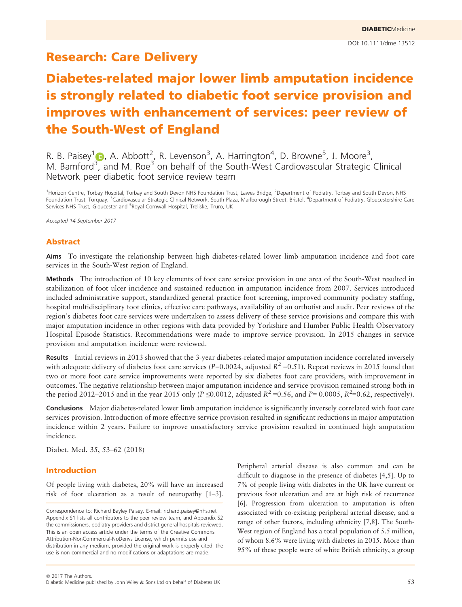## Research: Care Delivery

# Diabetes-related major lower limb amputation incidence is strongly related to diabetic foot service provision and improves with enhancement of services: peer review of the South-West of England

R. B. Paisey<sup>1</sup> (b), A. Abbott<sup>2</sup>, R. Levenson<sup>3</sup>, A. Harrington<sup>4</sup>, D. Browne<sup>5</sup>, J. Moore<sup>3</sup>, M. Bamford<sup>[3](http://orcid.org/0000-0002-7790-2569)</sup>, and M. Roe<sup>3</sup> on behalf of the South-West Cardiovascular Strategic Clinical Network peer diabetic foot service review team

<sup>1</sup>Horizon Centre, Torbay Hospital, Torbay and South Devon NHS Foundation Trust, Lawes Bridge, <sup>2</sup>Department of Podiatry, Torbay and South Devon, NHS Foundation Trust, Torquay, <sup>3</sup>Cardiovascular Strategic Clinical Network, South Plaza, Marlborough Street, Bristol, <sup>4</sup>Department of Podiatry, Gloucestershire Care Services NHS Trust, Gloucester and <sup>5</sup>Royal Cornwall Hospital, Treliske, Truro, UK

Accepted 14 September 2017

#### Abstract

Aims To investigate the relationship between high diabetes-related lower limb amputation incidence and foot care services in the South-West region of England.

Methods The introduction of 10 key elements of foot care service provision in one area of the South-West resulted in stabilization of foot ulcer incidence and sustained reduction in amputation incidence from 2007. Services introduced included administrative support, standardized general practice foot screening, improved community podiatry staffing, hospital multidisciplinary foot clinics, effective care pathways, availability of an orthotist and audit. Peer reviews of the region's diabetes foot care services were undertaken to assess delivery of these service provisions and compare this with major amputation incidence in other regions with data provided by Yorkshire and Humber Public Health Observatory Hospital Episode Statistics. Recommendations were made to improve service provision. In 2015 changes in service provision and amputation incidence were reviewed.

Results Initial reviews in 2013 showed that the 3-year diabetes-related major amputation incidence correlated inversely with adequate delivery of diabetes foot care services (P=0.0024, adjusted  $R^2$  =0.51). Repeat reviews in 2015 found that two or more foot care service improvements were reported by six diabetes foot care providers, with improvement in outcomes. The negative relationship between major amputation incidence and service provision remained strong both in the period 2012–2015 and in the year 2015 only (P ≤0.0012, adjusted  $R^2$  =0.56, and P= 0.0005,  $R^2$ =0.62, respectively).

Conclusions Major diabetes-related lower limb amputation incidence is significantly inversely correlated with foot care services provision. Introduction of more effective service provision resulted in significant reductions in major amputation incidence within 2 years. Failure to improve unsatisfactory service provision resulted in continued high amputation incidence.

Diabet. Med. 35, 53–62 (2018)

#### Introduction

Of people living with diabetes, 20% will have an increased risk of foot ulceration as a result of neuropathy [1–3].

Correspondence to: Richard Bayley Paisey. E-mail: richard.paisey@nhs.net Appendix S1 lists all contributors to the peer review team, and Appendix S2 the commissioners, podiatry providers and district general hospitals reviewed. This is an open access article under the terms of the [Creative Commons](http://creativecommons.org/licenses/by-nc-nd/4.0/) [Attribution-NonCommercial-NoDerivs](http://creativecommons.org/licenses/by-nc-nd/4.0/) License, which permits use and distribution in any medium, provided the original work is properly cited, the use is non-commercial and no modifications or adaptations are made.

Peripheral arterial disease is also common and can be difficult to diagnose in the presence of diabetes [4,5]. Up to 7% of people living with diabetes in the UK have current or previous foot ulceration and are at high risk of recurrence [6]. Progression from ulceration to amputation is often associated with co-existing peripheral arterial disease, and a range of other factors, including ethnicity [7,8]. The South-West region of England has a total population of 5.5 million, of whom 8.6% were living with diabetes in 2015. More than 95% of these people were of white British ethnicity, a group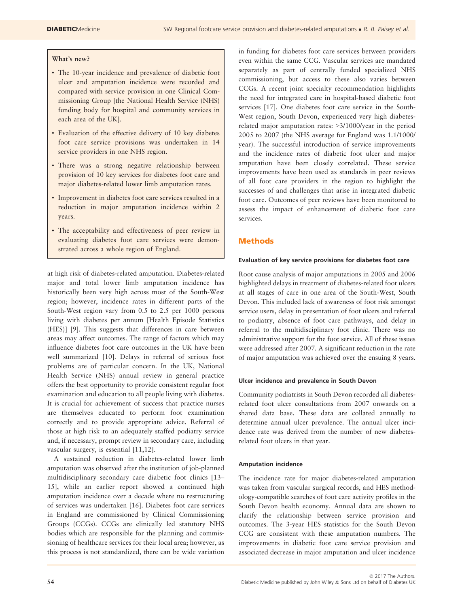#### What's new?

- The 10-year incidence and prevalence of diabetic foot ulcer and amputation incidence were recorded and compared with service provision in one Clinical Commissioning Group [the National Health Service (NHS) funding body for hospital and community services in each area of the UK].
- Evaluation of the effective delivery of 10 key diabetes foot care service provisions was undertaken in 14 service providers in one NHS region.
- There was a strong negative relationship between provision of 10 key services for diabetes foot care and major diabetes-related lower limb amputation rates.
- Improvement in diabetes foot care services resulted in a reduction in major amputation incidence within 2 years.
- The acceptability and effectiveness of peer review in evaluating diabetes foot care services were demonstrated across a whole region of England.

at high risk of diabetes-related amputation. Diabetes-related major and total lower limb amputation incidence has historically been very high across most of the South-West region; however, incidence rates in different parts of the South-West region vary from 0.5 to 2.5 per 1000 persons living with diabetes per annum [Health Episode Statistics (HES)] [9]. This suggests that differences in care between areas may affect outcomes. The range of factors which may influence diabetes foot care outcomes in the UK have been well summarized [10]. Delays in referral of serious foot problems are of particular concern. In the UK, National Health Service (NHS) annual review in general practice offers the best opportunity to provide consistent regular foot examination and education to all people living with diabetes. It is crucial for achievement of success that practice nurses are themselves educated to perform foot examination correctly and to provide appropriate advice. Referral of those at high risk to an adequately staffed podiatry service and, if necessary, prompt review in secondary care, including vascular surgery, is essential [11,12].

A sustained reduction in diabetes-related lower limb amputation was observed after the institution of job-planned multidisciplinary secondary care diabetic foot clinics [13– 15], while an earlier report showed a continued high amputation incidence over a decade where no restructuring of services was undertaken [16]. Diabetes foot care services in England are commissioned by Clinical Commissioning Groups (CCGs). CCGs are clinically led statutory NHS bodies which are responsible for the planning and commissioning of healthcare services for their local area; however, as this process is not standardized, there can be wide variation

in funding for diabetes foot care services between providers even within the same CCG. Vascular services are mandated separately as part of centrally funded specialized NHS commissioning, but access to these also varies between CCGs. A recent joint specialty recommendation highlights the need for integrated care in hospital-based diabetic foot services [17]. One diabetes foot care service in the South-West region, South Devon, experienced very high diabetesrelated major amputation rates: >3/1000/year in the period 2005 to 2007 (the NHS average for England was 1.1/1000/ year). The successful introduction of service improvements and the incidence rates of diabetic foot ulcer and major amputation have been closely correlated. These service improvements have been used as standards in peer reviews of all foot care providers in the region to highlight the successes of and challenges that arise in integrated diabetic foot care. Outcomes of peer reviews have been monitored to assess the impact of enhancement of diabetic foot care services.

#### Methods

#### Evaluation of key service provisions for diabetes foot care

Root cause analysis of major amputations in 2005 and 2006 highlighted delays in treatment of diabetes-related foot ulcers at all stages of care in one area of the South-West, South Devon. This included lack of awareness of foot risk amongst service users, delay in presentation of foot ulcers and referral to podiatry, absence of foot care pathways, and delay in referral to the multidisciplinary foot clinic. There was no administrative support for the foot service. All of these issues were addressed after 2007. A significant reduction in the rate of major amputation was achieved over the ensuing 8 years.

#### Ulcer incidence and prevalence in South Devon

Community podiatrists in South Devon recorded all diabetesrelated foot ulcer consultations from 2007 onwards on a shared data base. These data are collated annually to determine annual ulcer prevalence. The annual ulcer incidence rate was derived from the number of new diabetesrelated foot ulcers in that year.

#### Amputation incidence

The incidence rate for major diabetes-related amputation was taken from vascular surgical records, and HES methodology-compatible searches of foot care activity profiles in the South Devon health economy. Annual data are shown to clarify the relationship between service provision and outcomes. The 3-year HES statistics for the South Devon CCG are consistent with these amputation numbers. The improvements in diabetic foot care service provision and associated decrease in major amputation and ulcer incidence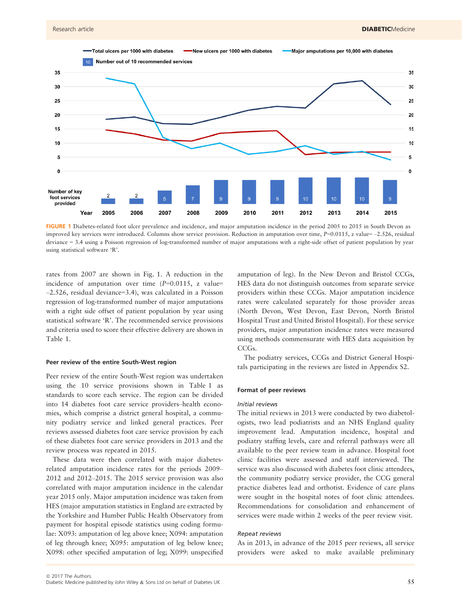

FIGURE 1 Diabetes-related foot ulcer prevalence and incidence, and major amputation incidence in the period 2005 to 2015 in South Devon as improved key services were introduced. Columns show service provision. Reduction in amputation over time,  $P=0.0115$ , z value= -2.526, residual deviance = 3.4 using a Poisson regression of log-transformed number of major amputations with a right-side offset of patient population by year using statistical software 'R'.

rates from 2007 are shown in Fig. 1. A reduction in the incidence of amputation over time  $(P=0.0115, z$  value= –2.526, residual deviance=3.4), was calculated in a Poisson regression of log-transformed number of major amputations with a right side offset of patient population by year using statistical software 'R'. The recommended service provisions and criteria used to score their effective delivery are shown in Table 1.

#### Peer review of the entire South-West region

Peer review of the entire South-West region was undertaken using the 10 service provisions shown in Table 1 as standards to score each service. The region can be divided into 14 diabetes foot care service providers–health economies, which comprise a district general hospital, a community podiatry service and linked general practices. Peer reviews assessed diabetes foot care service provision by each of these diabetes foot care service providers in 2013 and the review process was repeated in 2015.

These data were then correlated with major diabetesrelated amputation incidence rates for the periods 2009– 2012 and 2012–2015. The 2015 service provision was also correlated with major amputation incidence in the calendar year 2015 only. Major amputation incidence was taken from HES (major amputation statistics in England are extracted by the Yorkshire and Humber Public Health Observatory from payment for hospital episode statistics using coding formulae: X093: amputation of leg above knee; X094: amputation of leg through knee; X095: amputation of leg below knee; X098: other specified amputation of leg; X099: unspecified

amputation of leg). In the New Devon and Bristol CCGs, HES data do not distinguish outcomes from separate service providers within these CCGs. Major amputation incidence rates were calculated separately for those provider areas (North Devon, West Devon, East Devon, North Bristol Hospital Trust and United Bristol Hospital). For these service providers, major amputation incidence rates were measured using methods commensurate with HES data acquisition by CCG<sub>S</sub>.

The podiatry services, CCGs and District General Hospitals participating in the reviews are listed in Appendix S2.

#### Format of peer reviews

#### Initial reviews

The initial reviews in 2013 were conducted by two diabetologists, two lead podiatrists and an NHS England quality improvement lead. Amputation incidence, hospital and podiatry staffing levels, care and referral pathways were all available to the peer review team in advance. Hospital foot clinic facilities were assessed and staff interviewed. The service was also discussed with diabetes foot clinic attendees, the community podiatry service provider, the CCG general practice diabetes lead and orthotist. Evidence of care plans were sought in the hospital notes of foot clinic attendees. Recommendations for consolidation and enhancement of services were made within 2 weeks of the peer review visit.

#### Repeat reviews

As in 2013, in advance of the 2015 peer reviews, all service providers were asked to make available preliminary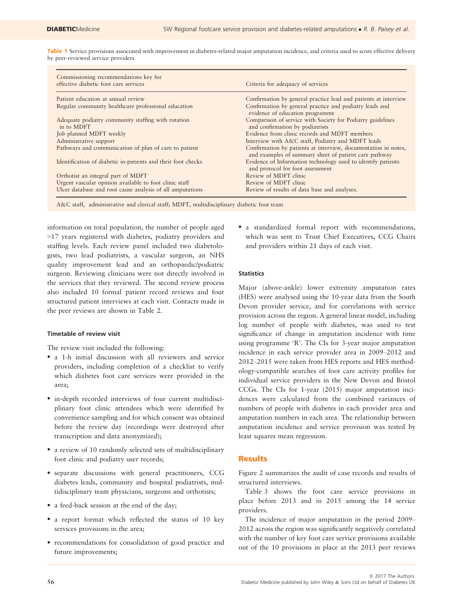Table 1 Service provisions associated with improvement in diabetes-related major amputation incidence, and criteria used to score effective delivery by peer-reviewed service providers

| Commissioning recommendations key for<br>effective diabetic foot care services | Criteria for adequacy of services                                                                                       |
|--------------------------------------------------------------------------------|-------------------------------------------------------------------------------------------------------------------------|
| Patient education at annual review                                             | Confirmation by general practice lead and patients at interview                                                         |
| Regular community healthcare professional education                            | Confirmation by general practice and podiatry leads and<br>evidence of education programme                              |
| Adequate podiatry community staffing with rotation<br>in to MDFT               | Comparison of service with Society for Podiatry guidelines<br>and confirmation by podiatrists                           |
| Job planned MDFT weekly                                                        | Evidence from clinic records and MDFT members                                                                           |
| Administrative support                                                         | Interview with A&C staff, Podiatry and MDFT leads                                                                       |
| Pathways and communication of plan of care to patient                          | Confirmation by patients at interview, documentation in notes,<br>and examples of summary sheet of patient care pathway |
| Identification of diabetic in-patients and their foot checks                   | Evidence of Information technology used to identify patients<br>and protocol for foot assessment                        |
| Orthotist an integral part of MDFT                                             | Review of MDFT clinic                                                                                                   |
| Urgent vascular opinion available to foot clinic staff                         | Review of MDFT clinic                                                                                                   |
| Ulcer database and root cause analysis of all amputations                      | Review of results of data base and analyses.                                                                            |

A&C staff, administrative and clerical staff; MDFT, multidisciplinary diabetic foot team

information on total population, the number of people aged >17 years registered with diabetes, podiatry providers and staffing levels. Each review panel included two diabetologists, two lead podiatrists, a vascular surgeon, an NHS quality improvement lead and an orthopaedic/podiatric surgeon. Reviewing clinicians were not directly involved in the services that they reviewed. The second review process also included 10 formal patient record reviews and four structured patient interviews at each visit. Contacts made in the peer reviews are shown in Table 2.

#### Timetable of review visit

The review visit included the following:

- a 1-h initial discussion with all reviewers and service providers, including completion of a checklist to verify which diabetes foot care services were provided in the area;
- in-depth recorded interviews of four current multidisciplinary foot clinic attendees which were identified by convenience sampling and for which consent was obtained before the review day (recordings were destroyed after transcription and data anonymized);
- a review of 10 randomly selected sets of multidisciplinary foot clinic and podiatry user records;
- separate discussions with general practitioners, CCG diabetes leads, community and hospital podiatrists, multidisciplinary team physicians, surgeons and orthotists;
- a feed-back session at the end of the day;
- a report format which reflected the status of 10 key services provisions in the area;
- recommendations for consolidation of good practice and future improvements;

 a standardized formal report with recommendations, which was sent to Trust Chief Executives, CCG Chairs and providers within 21 days of each visit.

#### **Statistics**

Major (above-ankle) lower extremity amputation rates (HES) were analysed using the 10-year data from the South Devon provider service, and for correlations with service provision across the region. A general linear model, including log number of people with diabetes, was used to test significance of change in amputation incidence with time using programme 'R'. The CIs for 3-year major amputation incidence in each service provider area in 2009–2012 and 2012–2015 were taken from HES reports and HES methodology-compatible searches of foot care activity profiles for individual service providers in the New Devon and Bristol CCGs. The CIs for 1-year (2015) major amputation incidences were calculated from the combined variances of numbers of people with diabetes in each provider area and amputation numbers in each area. The relationship between amputation incidence and service provision was tested by least squares mean regression.

#### Results

Figure 2 summarizes the audit of case records and results of structured interviews.

Table 3 shows the foot care service provisions in place before 2013 and in 2015 among the 14 service providers.

The incidence of major amputation in the period 2009– 2012 across the region was significantly negatively correlated with the number of key foot care service provisions available out of the 10 provisions in place at the 2013 peer reviews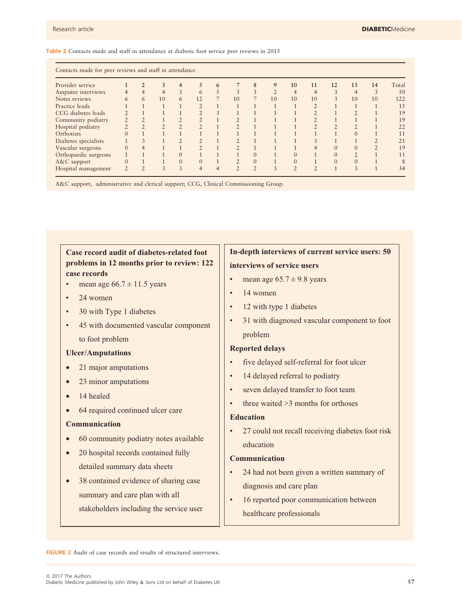Table 2 Contacts made and staff in attendance at diabetic foot service peer reviews in 2015

| Provider service     |          |               | 3                       | $\overline{4}$ | 5              | 6              | 7  | 8              | 9              | 10             | 11             | 12        | 13             | 14            | Total |
|----------------------|----------|---------------|-------------------------|----------------|----------------|----------------|----|----------------|----------------|----------------|----------------|-----------|----------------|---------------|-------|
| Amputee interviews   |          | 4             | 4                       | 3              | 6              | 5              | 3  | 3              | $\overline{2}$ | $\overline{4}$ | $\overline{4}$ | 3         | $\overline{4}$ | 3             | 50    |
| Notes reviews        | 6        | 6             | 10                      | 6              | 12             |                | 10 |                | 10             | 10             | 10             | 3         | 10             | 10            | 122   |
| Practice leads       |          |               |                         |                |                |                |    |                |                |                |                |           |                |               | 15    |
| CCG diabetes leads   |          |               |                         |                |                | 3              |    |                |                |                |                |           |                |               | 19    |
| Community podiatry   |          |               |                         |                |                |                |    |                |                |                |                |           |                |               | 19    |
| Hospital podiatry    |          |               | $\gamma$                | $\overline{2}$ |                |                |    |                |                |                |                | $\bigcap$ |                |               | 22    |
| Orthotists           |          |               |                         |                |                |                |    |                |                |                |                |           | $\Omega$       |               | 11    |
| Diabetes specialists |          | 3             |                         | $\overline{2}$ |                |                |    |                |                |                |                |           |                | $\mathcal{D}$ | 21    |
| Vascular surgeons    |          |               |                         |                |                |                |    |                |                |                |                |           |                | $\mathcal{L}$ | 19    |
| Orthopaedic surgeons |          |               |                         | $\Omega$       |                |                |    | $\overline{0}$ |                |                |                |           |                |               | 11    |
| A&C support          | $\Omega$ |               |                         | $\mathbf{0}$   | $\mathbf{0}$   |                |    | $\mathbf{0}$   |                | $\Omega$       |                |           |                |               | 8     |
| Hospital management  |          | $\mathcal{D}$ | $\overline{\mathbf{3}}$ | 3              | $\overline{4}$ | $\overline{4}$ | 2  | $\overline{2}$ | 3              | $\mathfrak{D}$ | $\mathcal{D}$  |           | 3              |               | 34    |

A&C support, administrative and clerical support; CCG, Clinical Commissioning Group.

**Case record audit of diabetes-related foot problems in 12 months prior to review: 122 case records**

- mean age  $66.7 \pm 11.5$  years
- 24 women
- 30 with Type 1 diabetes
- 45 with documented vascular component to foot problem

#### **Ulcer/Amputations**

- 21 major amputations
- 23 minor amputations
- 14 healed
- 64 required continued ulcer care

#### **Communication**

- 60 community podiatry notes available
- 20 hospital records contained fully detailed summary data sheets
- 38 contained evidence of sharing case summary and care plan with all stakeholders including the service user

### **In-depth interviews of current service users: 50 interviews of service users**

- mean age  $65.7 \pm 9.8$  years
- 14 women
- 12 with type 1 diabetes
- 31 with diagnosed vascular component to foot problem

#### **Reported delays**

- five delayed self-referral for foot ulcer
- 14 delayed referral to podiatry
- seven delayed transfer to foot team
- three waited  $>3$  months for orthoses

#### **Education**

• 27 could not recall receiving diabetes foot risk education

#### **Communication**

- 24 had not been given a written summary of diagnosis and care plan
- 16 reported poor communication between healthcare professionals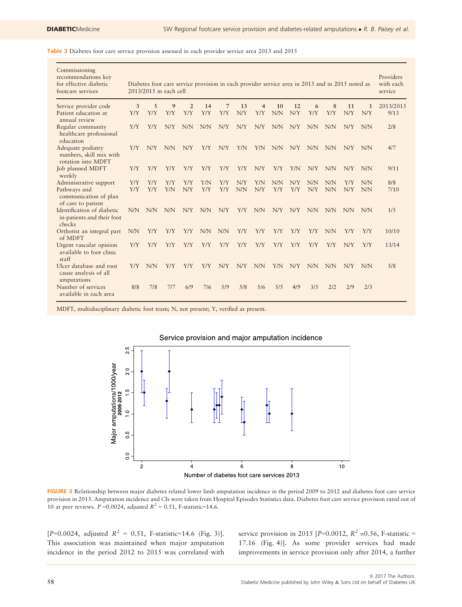Table 3 Diabetes foot care service provision assessed in each provider service area 2013 and 2015

| Commissioning<br>recommendations key<br>for effective diabetic<br>footcare services |     |            | 2013/2015 in each cell | Diabetes foot care service provision in each provider service area in 2013 and in 2015 noted as |     |                |            |     |     |            |            |     |     |     | Providers<br>with each<br>service |
|-------------------------------------------------------------------------------------|-----|------------|------------------------|-------------------------------------------------------------------------------------------------|-----|----------------|------------|-----|-----|------------|------------|-----|-----|-----|-----------------------------------|
| Service provider code                                                               | 3   | 5          | 9                      | $\overline{2}$                                                                                  | 14  | $\overline{7}$ | 13         | 4   | 10  | 12         | 6          | 8   | 11  | 1   | 2013/2015                         |
| Patient education at<br>annual review                                               | Y/Y | Y/Y        | <b>Y/Y</b>             | Y/Y                                                                                             | Y/Y | Y/Y            | N/Y        | Y/Y | N/N | N/Y        | <b>Y/Y</b> | Y/Y | N/Y | N/Y | 9/13                              |
| Regular community<br>healthcare professional<br>education                           | Y/Y | Y/Y        | N/Y                    | N/N                                                                                             | N/N | N/Y            | N/Y        | N/Y | N/N | N/Y        | N/N        | N/N | N/Y | N/N | 2/8                               |
| Adequate podiatry<br>numbers, skill mix with<br>rotation into MDFT                  | Y/Y | N/Y        | N/N                    | N/Y                                                                                             | Y/Y | N/Y            | Y/N        | Y/N | N/N | N/Y        | N/N        | N/N | N/Y | N/N | 4/7                               |
| Job planned MDFT<br>weekly                                                          | Y/Y | Y/Y        | Y/Y                    | Y/Y                                                                                             | Y/Y | Y/Y            | Y/Y        | N/Y | Y/Y | Y/N        | N/Y        | N/N | N/Y | N/N | 9/11                              |
| Administrative support                                                              | Y/Y | Y/Y        | Y/Y                    | Y/Y                                                                                             | Y/N | Y/Y            | N/Y        | YN  | N/N | N/Y        | N/N        | N/N | Y/Y | N/N | 8/8                               |
| Pathways and<br>communication of plan<br>of care to patient                         | Y/Y | Y/Y        | Y/N                    | N/Y                                                                                             | Y/Y | Y/Y            | N/N        | N/Y | Y/Y | <b>Y/Y</b> | N/Y        | N/N | N/Y | N/N | 7/10                              |
| Identification of diabetic<br>in-patients and their foot<br>checks                  | N/N | <b>N/N</b> | N/N                    | N/Y                                                                                             | N/N | N/Y            | Y/Y        | N/N | N/Y | N/Y        | N/N        | N/N | N/N | N/N | 1/5                               |
| Orthotist an integral part<br>of MDFT                                               | N/N | Y/Y        | Y/Y                    | Y/Y                                                                                             | N/N | N/N            | Y/Y        | Y/Y | Y/Y | Y/Y        | Y/Y        | N/N | Y/Y | Y/Y | 10/10                             |
| Urgent vascular opinion<br>available to foot clinic<br>staff                        | Y/Y | Y/Y        | Y/Y                    | Y/Y                                                                                             | Y/Y | Y/Y            | <b>Y/Y</b> | Y/Y | Y/Y | <b>Y/Y</b> | Y/Y        | Y/Y | N/Y | Y/Y | 13/14                             |
| Ulcer database and root<br>cause analysis of all<br>amputations                     | Y/Y | N/N        | <b>Y/Y</b>             | Y/Y                                                                                             | Y/Y | N/Y            | N/Y        | N/N | Y/N | N/Y        | N/N        | N/N | N/Y | N/N | 5/8                               |
| Number of services<br>available in each area                                        | 8/8 | 7/8        | 7/7                    | 6/9                                                                                             | 7/6 | 5/9            | 5/8        | 5/6 | 5/5 | 4/9        | 3/5        | 2/2 | 2/9 | 2/3 |                                   |

MDFT, multidisciplinary diabetic foot team; N, not present; Y, verified as present.



FIGURE 3 Relationship between major diabetes related lower limb amputation incidence in the period 2009 to 2012 and diabetes foot care service provision in 2013. Amputation incidence and CIs were taken from Hospital Episodes Statistics data. Diabetes foot care service provision rated out of 10 at peer reviews.  $P = 0.0024$ , adjusted  $R^2 = 0.51$ , F-statistic=14.6.

 $[P=0.0024,$  adjusted  $R^2 = 0.51$ , F-statistic=14.6 (Fig. 3)]. This association was maintained when major amputation incidence in the period 2012 to 2015 was correlated with service provision in 2015 [ $P=0.0012$ ,  $R^2 = 0.56$ , F-statistic = 17.16 (Fig. 4)]. As some provider services had made improvements in service provision only after 2014, a further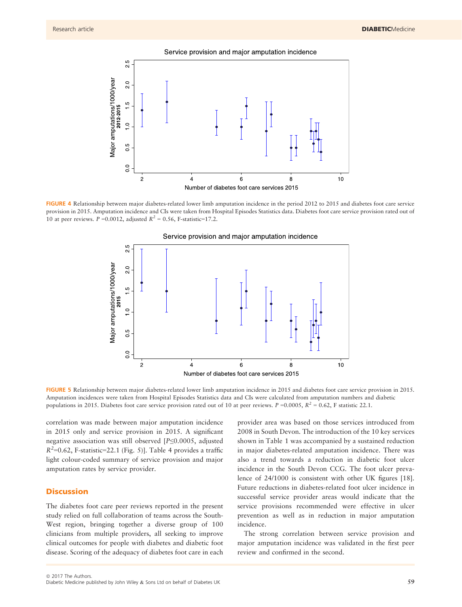



FIGURE 4 Relationship between major diabetes-related lower limb amputation incidence in the period 2012 to 2015 and diabetes foot care service provision in 2015. Amputation incidence and CIs were taken from Hospital Episodes Statistics data. Diabetes foot care service provision rated out of 10 at peer reviews.  $P = 0.0012$ , adjusted  $R^2 = 0.56$ , F-statistic=17.2.



Service provision and major amputation incidence

FIGURE 5 Relationship between major diabetes-related lower limb amputation incidence in 2015 and diabetes foot care service provision in 2015. Amputation incidences were taken from Hospital Episodes Statistics data and CIs were calculated from amputation numbers and diabetic populations in 2015. Diabetes foot care service provision rated out of 10 at peer reviews.  $P = 0.0005$ ,  $R^2 = 0.62$ , F statistic 22.1.

correlation was made between major amputation incidence in 2015 only and service provision in 2015. A significant negative association was still observed [P≤0.0005, adjusted  $R^2$ =0.62, F-statistic=22.1 (Fig. 5)]. Table 4 provides a traffic light colour-coded summary of service provision and major amputation rates by service provider.

#### **Discussion**

The diabetes foot care peer reviews reported in the present study relied on full collaboration of teams across the South-West region, bringing together a diverse group of 100 clinicians from multiple providers, all seeking to improve clinical outcomes for people with diabetes and diabetic foot disease. Scoring of the adequacy of diabetes foot care in each provider area was based on those services introduced from 2008 in South Devon. The introduction of the 10 key services shown in Table 1 was accompanied by a sustained reduction in major diabetes-related amputation incidence. There was also a trend towards a reduction in diabetic foot ulcer incidence in the South Devon CCG. The foot ulcer prevalence of 24/1000 is consistent with other UK figures [18]. Future reductions in diabetes-related foot ulcer incidence in successful service provider areas would indicate that the service provisions recommended were effective in ulcer prevention as well as in reduction in major amputation incidence.

The strong correlation between service provision and major amputation incidence was validated in the first peer review and confirmed in the second.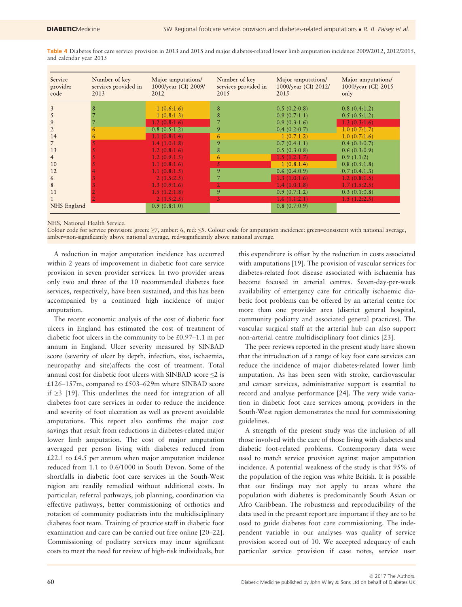Table 4 Diabetes foot care service provision in 2013 and 2015 and major diabetes-related lower limb amputation incidence 2009/2012, 2012/2015, and calendar year 2015

| Service<br>provider<br>code | Number of key<br>services provided in<br>2013 | Major amputations/<br>1000/year (CI) 2009/<br>2012 | Number of key<br>services provided in<br>2015 | Major amputations/<br>1000/year (CI) 2012/<br>2015 | Major amputations/<br>1000/year (CI) 2015<br>only |
|-----------------------------|-----------------------------------------------|----------------------------------------------------|-----------------------------------------------|----------------------------------------------------|---------------------------------------------------|
| 3                           |                                               | 1(0.6:1.6)                                         | 8                                             | 0.5(0.2:0.8)                                       | 0.8(0.4:1.2)                                      |
| 5                           |                                               | 1(0.8:1.3)                                         | 8                                             | 0.9(0.7:1.1)                                       | 0.5(0.5:1.2)                                      |
| 9                           |                                               | 1.2(0.8:1.6)                                       |                                               | 0.9(0.3:1.6)                                       | 1.3(0.3:1.6)                                      |
|                             |                                               | 0.8(0.5:1.2)                                       | 9                                             | 0.4(0.2:0.7)                                       | 1.0(0.7:1.7)                                      |
| 14                          |                                               | 1.1(0.8:1.4)                                       | 6                                             | 1(0.7:1.2)                                         | 1.0(0.7:1.6)                                      |
|                             |                                               | 1.4(1.0:1.8)                                       | 9                                             | 0.7(0.4:1.1)                                       | 0.4(0.1:0.7)                                      |
| 13                          |                                               | 1.2(0.8:1.6)                                       | 8                                             | 0.5(0.3:0.8)                                       | 0.6(0.3:0.9)                                      |
| $\overline{4}$              |                                               | 1.2(0.9:1.5)                                       | 6                                             | 1.5(1.2:1.7)                                       | 0.9(1.1:2)                                        |
| 10                          |                                               | 1.1(0.8:1.6)                                       |                                               | 1(0.8:1.4)                                         | 0.8(0.5:1.8)                                      |
| 12                          |                                               | 1.1(0.8:1.5)                                       | 9                                             | 0.6(0.4:0.9)                                       | 0.7(0.4:1.3)                                      |
| 6                           |                                               | 2(1.5:2.5)                                         |                                               | 1.3(1.0:1.6)                                       | 1.2(0.8:1.5)                                      |
| 8                           |                                               | 1.3(0.9:1.6)                                       |                                               | 1.4(1.0:1.8)                                       | 1.7(1.5:2.5)                                      |
| 11                          |                                               | 1.5(1.2:1.8)                                       | 9                                             | 0.9(0.7:1.2)                                       | 0.3(0.1:0.8)                                      |
|                             |                                               | 2(1.5:2.5)                                         |                                               | 1.6(1.1:2.1)                                       | 1.5(1.2:2.5)                                      |
| NHS England                 |                                               | 0.9(0.8:1.0)                                       |                                               | 0.8(0.7:0.9)                                       |                                                   |

NHS, National Health Service.

Colour code for service provision: green: ≥7, amber: 6, red: ≤5. Colour code for amputation incidence: green=consistent with national average, amber=non-significantly above national average, red=significantly above national average.

A reduction in major amputation incidence has occurred within 2 years of improvement in diabetic foot care service provision in seven provider services. In two provider areas only two and three of the 10 recommended diabetes foot services, respectively, have been sustained, and this has been accompanied by a continued high incidence of major amputation.

The recent economic analysis of the cost of diabetic foot ulcers in England has estimated the cost of treatment of diabetic foot ulcers in the community to be £0.97–1.1 m per annum in England. Ulcer severity measured by SINBAD score (severity of ulcer by depth, infection, size, ischaemia, neuropathy and site)affects the cost of treatment. Total annual cost for diabetic foot ulcers with SINBAD score ≤2 is £126–157m, compared to £503–629m where SINBAD score if ≥3 [19]. This underlines the need for integration of all diabetes foot care services in order to reduce the incidence and severity of foot ulceration as well as prevent avoidable amputations. This report also confirms the major cost savings that result from reductions in diabetes-related major lower limb amputation. The cost of major amputation averaged per person living with diabetes reduced from £22.1 to £4.5 per annum when major amputation incidence reduced from 1.1 to 0.6/1000 in South Devon. Some of the shortfalls in diabetic foot care services in the South-West region are readily remedied without additional costs. In particular, referral pathways, job planning, coordination via effective pathways, better commissioning of orthotics and rotation of community podiatrists into the multidisciplinary diabetes foot team. Training of practice staff in diabetic foot examination and care can be carried out free online [20–22]. Commissioning of podiatry services may incur significant costs to meet the need for review of high-risk individuals, but this expenditure is offset by the reduction in costs associated with amputations [19]. The provision of vascular services for diabetes-related foot disease associated with ischaemia has become focused in arterial centres. Seven-day-per-week availability of emergency care for critically ischaemic diabetic foot problems can be offered by an arterial centre for more than one provider area (district general hospital, community podiatry and associated general practices). The vascular surgical staff at the arterial hub can also support non-arterial centre multidisciplinary foot clinics [23].

The peer reviews reported in the present study have shown that the introduction of a range of key foot care services can reduce the incidence of major diabetes-related lower limb amputation. As has been seen with stroke, cardiovascular and cancer services, administrative support is essential to record and analyse performance [24]. The very wide variation in diabetic foot care services among providers in the South-West region demonstrates the need for commissioning guidelines.

A strength of the present study was the inclusion of all those involved with the care of those living with diabetes and diabetic foot-related problems. Contemporary data were used to match service provision against major amputation incidence. A potential weakness of the study is that 95% of the population of the region was white British. It is possible that our findings may not apply to areas where the population with diabetes is predominantly South Asian or Afro Caribbean. The robustness and reproducibility of the data used in the present report are important if they are to be used to guide diabetes foot care commissioning. The independent variable in our analyses was quality of service provision scored out of 10. We accepted adequacy of each particular service provision if case notes, service user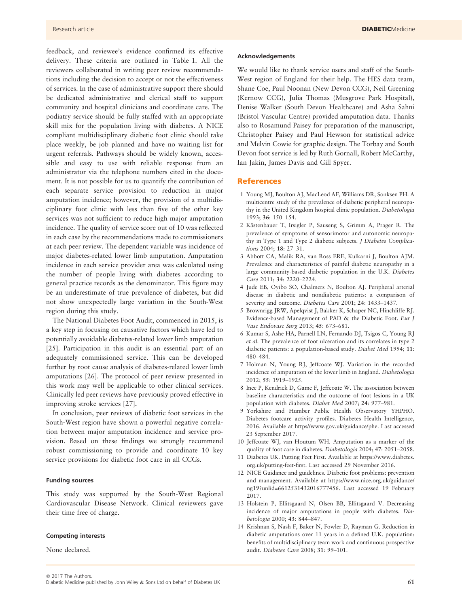feedback, and reviewee's evidence confirmed its effective delivery. These criteria are outlined in Table 1. All the reviewers collaborated in writing peer review recommendations including the decision to accept or not the effectiveness of services. In the case of administrative support there should be dedicated administrative and clerical staff to support community and hospital clinicians and coordinate care. The podiatry service should be fully staffed with an appropriate skill mix for the population living with diabetes. A NICE compliant multidisciplinary diabetic foot clinic should take place weekly, be job planned and have no waiting list for urgent referrals. Pathways should be widely known, accessible and easy to use with reliable response from an administrator via the telephone numbers cited in the document. It is not possible for us to quantify the contribution of each separate service provision to reduction in major amputation incidence; however, the provision of a multidisciplinary foot clinic with less than five of the other key services was not sufficient to reduce high major amputation incidence. The quality of service score out of 10 was reflected in each case by the recommendations made to commissioners at each peer review. The dependent variable was incidence of major diabetes-related lower limb amputation. Amputation incidence in each service provider area was calculated using the number of people living with diabetes according to general practice records as the denominator. This figure may be an underestimate of true prevalence of diabetes, but did not show unexpectedly large variation in the South-West region during this study.

The National Diabetes Foot Audit, commenced in 2015, is a key step in focusing on causative factors which have led to potentially avoidable diabetes-related lower limb amputation [25]. Participation in this audit is an essential part of an adequately commissioned service. This can be developed further by root cause analysis of diabetes-related lower limb amputations [26]. The protocol of peer review presented in this work may well be applicable to other clinical services. Clinically led peer reviews have previously proved effective in improving stroke services [27].

In conclusion, peer reviews of diabetic foot services in the South-West region have shown a powerful negative correlation between major amputation incidence and service provision. Based on these findings we strongly recommend robust commissioning to provide and coordinate 10 key service provisions for diabetic foot care in all CCGs.

#### Funding sources

This study was supported by the South-West Regional Cardiovascular Disease Network. Clinical reviewers gave their time free of charge.

#### Competing interests

None declared.

#### Acknowledgements

We would like to thank service users and staff of the South-West region of England for their help. The HES data team, Shane Coe, Paul Noonan (New Devon CCG), Neil Greening (Kernow CCG), Julia Thomas (Musgrove Park Hospital), Denise Walker (South Devon Healthcare) and Asha Sahni (Bristol Vascular Centre) provided amputation data. Thanks also to Rosamund Paisey for preparation of the manuscript, Christopher Paisey and Paul Hewson for statistical advice and Melvin Cowie for graphic design. The Torbay and South Devon foot service is led by Ruth Gornall, Robert McCarthy, Ian Jakin, James Davis and Gill Spyer.

#### References

- 1 Young MJ, Boulton AJ, MacLeod AF, Williams DR, Sonksen PH. A multicentre study of the prevalence of diabetic peripheral neuropathy in the United Kingdom hospital clinic population. Diabetologia 1993; 36: 150–154.
- 2 Kästenbauer T, Irsigler P, Sauseng S, Grimm A, Prager R. The prevalence of symptoms of sensorimotor and autonomic neuropathy in Type 1 and Type 2 diabetic subjects. J Diabetes Complications 2004; 18: 27–31.
- 3 Abbott CA, Malik RA, van Ross ERE, Kulkarni J, Boulton AJM. Prevalence and characteristics of painful diabetic neuropathy in a large community-based diabetic population in the U.K. Diabetes Care 2011; 34: 2220–2224.
- 4 Jude EB, Oyibo SO, Chalmers N, Boulton AJ. Peripheral arterial disease in diabetic and nondiabetic patients: a comparison of severity and outcome. Diabetes Care 2001; 24: 1433–1437.
- 5 Brownrigg JRW, Apelqvist J, Bakker K, Schaper NC, Hinchliffe RJ. Evidence-based Management of PAD & the Diabetic Foot. Eur J Vasc Endovasc Surg 2013; 45: 673–681.
- 6 Kumar S, Ashe HA, Parnell LN, Fernando DJ, Tsigos C, Young RJ et al. The prevalence of foot ulceration and its correlates in type 2 diabetic patients: a population-based study. Diabet Med 1994; 11: 480–484.
- 7 Holman N, Young RJ, Jeffcoate WJ. Variation in the recorded incidence of amputation of the lower limb in England. Diabetologia 2012; 55: 1919–1925.
- 8 Ince P, Kendrick D, Game F, Jeffcoate W. The association between baseline characteristics and the outcome of foot lesions in a UK population with diabetes. Diabet Med 2007; 24: 977–981.
- 9 Yorkshire and Humber Public Health Observatory YHPHO. Diabetes footcare activity profiles. Diabetes Health Intelligence, 2016. Available at [https//www.gov.uk/guidance/phe.](https//www.gov.uk/guidance/phe) Last accessed 23 September 2017.
- 10 Jeffcoate WJ, van Houtum WH. Amputation as a marker of the quality of foot care in diabetes. Diabetologia 2004; 47: 2051–2058.
- 11 Diabetes UK. Putting Feet First. Available at [https://www.diabetes.](https://www.diabetes.org.uk/putting-feet-first) [org.uk/putting-feet-first.](https://www.diabetes.org.uk/putting-feet-first) Last accessed 29 November 2016.
- 12 NICE Guidance and guidelines. Diabetic foot problems: prevention and management. Available at [https://www.nice.org.uk/guidance/](https://www.nice.org.uk/guidance/ng19?unlid=6612531432016777456) [ng19?unlid=6612531432016777456.](https://www.nice.org.uk/guidance/ng19?unlid=6612531432016777456) Last accessed 19 February 2017.
- 13 Holstein P, Ellitsgaard N, Olsen BB, Ellitsgaard V. Decreasing incidence of major amputations in people with diabetes. Diabetologia 2000; 43: 844–847.
- 14 Krishnan S, Nash F, Baker N, Fowler D, Rayman G. Reduction in diabetic amputations over 11 years in a defined U.K. population: benefits of multidisciplinary team work and continuous prospective audit. Diabetes Care 2008; 31: 99–101.